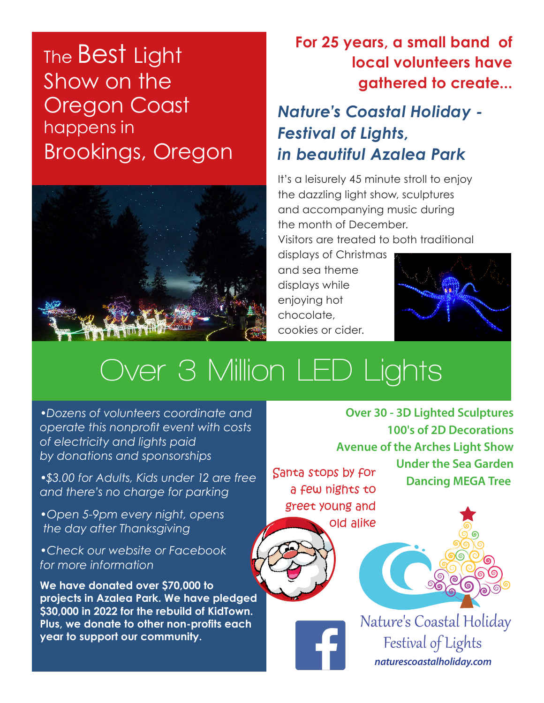## The Best Light Show on the Oregon Coast happens in Brookings, Oregon



## **For 25 years, a small band of local volunteers have gathered to create...**

*Nature's Coastal Holiday - Festival of Lights, in beautiful Azalea Park*

It's a leisurely 45 minute stroll to enjoy the dazzling light show, sculptures and accompanying music during the month of December. Visitors are treated to both traditional

displays of Christmas and sea theme displays while enjoying hot chocolate, cookies or cider.



## **Over 3 Million LED Lights**

*•Dozens of volunteers coordinate and operate this nonprofit event with costs of electricity and lights paid by donations and sponsorships*

*•\$3.00 for Adults, Kids under 12 are free and there's no charge for parking*

*•Open 5-9pm every night, opens the day after Thanksgiving*

*•Check our website or Facebook for more information*

**We have donated over \$70,000 to projects in Azalea Park. We have pledged \$30,000 in 2022 for the rebuild of KidTown. Plus, we donate to other non-profits each year to support our community.**

**Over 30 - 3D Lighted Sculptures 100's of 2D Decorations Avenue of the Arches Light Show Under the Sea Garden**  Santa stops by for<br>Dancing MEGA Tree

a few nights to greet young and old alike





Nature's Coastal Holiday Festival of Lights *naturescoastalholiday.com*